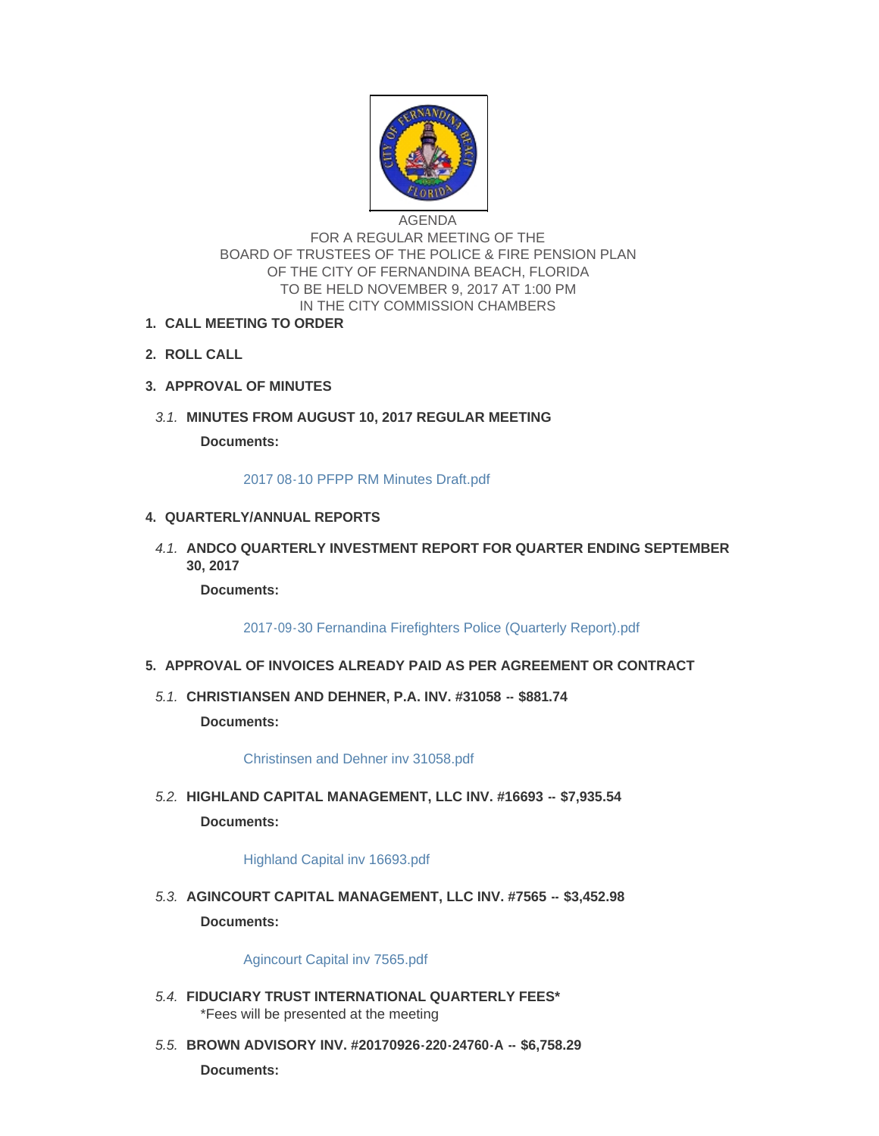

AGENDA FOR A REGULAR MEETING OF THE BOARD OF TRUSTEES OF THE POLICE & FIRE PENSION PLAN OF THE CITY OF FERNANDINA BEACH, FLORIDA TO BE HELD NOVEMBER 9, 2017 AT 1:00 PM IN THE CITY COMMISSION CHAMBERS

- **CALL MEETING TO ORDER 1.**
- **ROLL CALL 2.**
- **APPROVAL OF MINUTES 3.**
- **MINUTES FROM AUGUST 10, 2017 REGULAR MEETING** *3.1.*

**Documents:**

[2017 08-10 PFPP RM Minutes Draft.pdf](http://fl-fernandinabeach3.civicplus.com/AgendaCenter/ViewFile/Item/8316?fileID=5455)

## **QUARTERLY/ANNUAL REPORTS 4.**

**A.1. ANDCO QUARTERLY INVESTMENT REPORT FOR QUARTER ENDING SEPTEMBER 30, 2017**

**Documents:**

[2017-09-30 Fernandina Firefighters Police \(Quarterly Report\).pdf](http://fl-fernandinabeach3.civicplus.com/AgendaCenter/ViewFile/Item/8317?fileID=5458)

- **APPROVAL OF INVOICES ALREADY PAID AS PER AGREEMENT OR CONTRACT 5.**
	- **CHRISTIANSEN AND DEHNER, P.A. INV. #31058 -- \$881.74** *5.1.*

**Documents:**

[Christinsen and Dehner inv 31058.pdf](http://fl-fernandinabeach3.civicplus.com/AgendaCenter/ViewFile/Item/8318?fileID=5429)

**HIGHLAND CAPITAL MANAGEMENT, LLC INV. #16693 -- \$7,935.54** *5.2.* **Documents:**

[Highland Capital inv 16693.pdf](http://fl-fernandinabeach3.civicplus.com/AgendaCenter/ViewFile/Item/8319?fileID=5430)

**AGINCOURT CAPITAL MANAGEMENT, LLC INV. #7565 -- \$3,452.98** *5.3.* **Documents:**

[Agincourt Capital inv 7565.pdf](http://fl-fernandinabeach3.civicplus.com/AgendaCenter/ViewFile/Item/8320?fileID=5431)

- **FIDUCIARY TRUST INTERNATIONAL QUARTERLY FEES\*** *5.4.* \*Fees will be presented at the meeting
- **BROWN ADVISORY INV. #20170926-220-24760-A -- \$6,758.29** *5.5.* **Documents:**